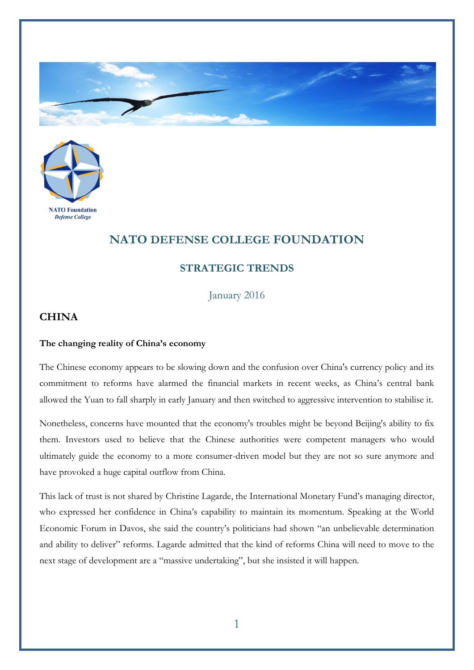



## **NATO DEFENSE COLLEGE FOUNDATION**

## **STRATEGIC TRENDS**

January 2016

## **CHINA**

## **The changing reality of China's economy**

The Chinese economy appears to be slowing down and the confusion over China's currency policy and its commitment to reforms have alarmed the financial markets in recent weeks, as China's central bank allowed the Yuan to fall sharply in early January and then switched to aggressive intervention to stabilise it.

Nonetheless, concerns have mounted that the economy's troubles might be beyond Beijing's ability to fix them. Investors used to believe that the Chinese authorities were competent managers who would ultimately guide the economy to a more consumer-driven model but they are not so sure anymore and have provoked a huge capital outflow from China.

This lack of trust is not shared by Christine Lagarde, the International Monetary Fund's managing director, who expressed her confidence in China's capability to maintain its momentum. Speaking at the World Economic Forum in Davos, she said the country's politicians had shown "an unbelievable determination and ability to deliver" reforms. Lagarde admitted that the kind of reforms China will need to move to the next stage of development are a "massive undertaking", but she insisted it will happen.